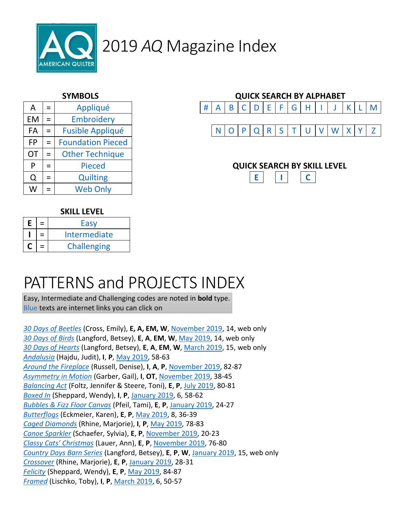

| A         | $=$ | Appliqué                     |  | B |  | D | E |  | G | H |                           |   |
|-----------|-----|------------------------------|--|---|--|---|---|--|---|---|---------------------------|---|
| EM        | $=$ | Embroidery                   |  |   |  |   |   |  |   |   |                           |   |
| FA        | $=$ | <b>Fusible Appliqué</b><br>R |  |   |  |   |   |  |   |   |                           |   |
| <b>FP</b> | $=$ | <b>Foundation Pieced</b>     |  |   |  |   |   |  |   |   |                           |   |
| OT        | $=$ | <b>Other Technique</b>       |  |   |  |   |   |  |   |   |                           |   |
| P         | $=$ | <b>Pieced</b>                |  |   |  |   |   |  |   |   | <b>QUICK SEARCH BY SK</b> |   |
|           | $=$ | <b>Quilting</b>              |  |   |  |   |   |  |   |   |                           | C |
| W         | $=$ | <b>Web Only</b>              |  |   |  |   |   |  |   |   |                           |   |



#### **SKILL LEVEL**

| E | Easy               |  |  |  |
|---|--------------------|--|--|--|
|   | Intermediate       |  |  |  |
|   | <b>Challenging</b> |  |  |  |

## PATTERNS and PROJECTS INDEX

Easy, Intermediate and Challenging codes are noted in **bold** type. Blue texts are internet links you can click on

*30 Days of Beetles* (Cross, Emily), **E, A, EM, W**, November 2019, 14, web only *30 Days of Birds* (Langford, Betsey), **E**, **A**, **EM**, **W**, May 2019, 14, web only *30 Days of Hearts* (Langford, Betsey), **E**, **A**, **EM**, **W**, March 2019, 15, web only *Andalusia* (Hajdu, Judit), **I**, **P**, May 2019, 58-63 *Around the Fireplace* (Russell, Denise), **I**, **A**, **P**, November 2019, 82-87 *Asymmetry in Motion* (Garber, Gail), **I**, **OT**, November 2019, 38-45 *Balancing Act* (Foltz, Jennifer & Steere, Toni), **E**, **P**, July 2019, 80-81 *Boxed In* (Sheppard, Wendy), **I**, **P**, January 2019, 6, 58-62 *Bubbles & Fizz Floor Canvas* (Pfeil, Tami), **E**, **P**, January 2019, 24-27 *Butterflogs* (Eckmeier, Karen), **E**, **P**, May 2019, 8, 36-39 *Caged Diamonds* (Rhine, Marjorie), **I**, **P**, May 2019, 78-83 *Canoe Sparkler* (Schaefer, Sylvia), **E**, **P**, November 2019, 20-23 *Classy Cats' Christmas* (Lauer, Ann), **E**, **P**, November 2019, 76-80 *Country Days Barn Series* (Langford, Betsey), **E**, **P**, **W**, January 2019, 15, web only *Crossover* (Rhine, Marjorie), **E**, **P**, January 2019, 28-31 *Felicity* (Sheppard, Wendy), **E**, **P**, May 2019, 84-87 *Framed* (Lischko, Toby), **I**, **P**, March 2019, 6, 50-57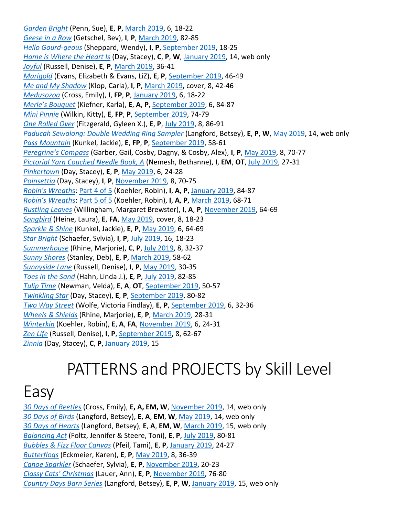*Garden Bright* (Penn, Sue), **E**, **P**, March 2019, 6, 18-22 *Geese in a Row* (Getschel, Bev), **I**, **P**, March 2019, 82-85 *Hello Gourd-geous* (Sheppard, Wendy), **I**, **P**, September 2019, 18-25 *Home is Where the Heart Is* (Day, Stacey), **C**, **P**, **W**, January 2019, 14, web only *Joyful* (Russell, Denise), **E**, **P**, March 2019, 36-41 *Marigold* (Evans, Elizabeth & Evans, LiZ), **E**, **P**, September 2019, 46-49 *Me and My Shadow* (Klop, Carla), **I**, **P**, March 2019, cover, 8, 42-46 *Medusozoa* (Cross, Emily), **I**, **FP**, **P**, January 2019, 6, 18-22 *Merle's Bouquet* (Kiefner, Karla), **E**, **A**, **P**, September 2019, 6, 84-87 *Mini Pinnie* (Wilkin, Kitty), **E**, **FP**, **P**, September 2019, 74-79 *One Rolled Over* (Fitzgerald, Gyleen X.), **E**, **P**, July 2019, 8, 86-91 *Paducah Sewalong: Double Wedding Ring Sampler* (Langford, Betsey), **E**, **P**, **W**, May 2019, 14, web only *Pass Mountain* (Kunkel, Jackie), **E**, **FP**, **P**, September 2019, 58-61 *Peregrine's Compass* (Garber, Gail, Cosby, Dagny, & Cosby, Alex), **I**, **P**, May 2019, 8, 70-77 *Pictorial Yarn Couched Needle Book, A* (Nemesh, Bethanne), **I**, **EM**, **OT**, July 2019, 27-31 *Pinkertown* (Day, Stacey), **E**, **P**, May 2019, 6, 24-28 *Poinsettia* (Day, Stacey), **I**, **P**, November 2019, 8, 70-75 *Robin's Wreath*s: Part 4 of 5 (Koehler, Robin), **I**, **A**, **P**, January 2019, 84-87 *Robin's Wreath*s: Part 5 of 5 (Koehler, Robin), **I**, **A**, **P**, March 2019, 68-71 *Rustling Leaves* (Willingham, Margaret Brewster), **I**, **A**, **P**, November 2019, 64-69 *Songbird* (Heine, Laura), **E**, **FA**, May 2019, cover, 8, 18-23 *Sparkle & Shine* (Kunkel, Jackie), **E**, **P**, May 2019, 6, 64-69 *Star Bright* (Schaefer, Sylvia), **I**, **P**, July 2019, 16, 18-23 *Summerhouse* (Rhine, Marjorie), **C**, **P**, July 2019, 8, 32-37 *Sunny Shores* (Stanley, Deb), **E**, **P**, March 2019, 58-62 *Sunnyside Lane* (Russell, Denise), **I**, **P**, May 2019, 30-35 *Toes in the Sand* (Hahn, Linda J.), **E**, **P**, July 2019, 82-85 *Tulip Time* (Newman, Velda), **E**, **A**, **OT**, September 2019, 50-57 *Twinkling Star* (Day, Stacey), **E**, **P**, September 2019, 80-82 *Two Way Street* (Wolfe, Victoria Findlay), **E**, **P**, September 2019, 6, 32-36 *Wheels & Shields* (Rhine, Marjorie), **E**, **P**, March 2019, 28-31 *Winterkin* (Koehler, Robin), **E**, **A**, **FA**, November 2019, 6, 24-31 *Zen Life* (Russell, Denise), **I**, **P**, September 2019, 8, 62-67 *Zinnia* (Day, Stacey), **C**, **P**, January 2019, 15

## PATTERNS and PROJECTS by Skill Level

## Easy

*30 Days of Beetles* (Cross, Emily), **E, A, EM, W**, November 2019, 14, web only *30 Days of Birds* (Langford, Betsey), **E**, **A**, **EM**, **W**, May 2019, 14, web only *30 Days of Hearts* (Langford, Betsey), **E**, **A**, **EM**, **W**, March 2019, 15, web only *Balancing Act* (Foltz, Jennifer & Steere, Toni), **E**, **P**, July 2019, 80-81 *Bubbles & Fizz Floor Canvas* (Pfeil, Tami), **E**, **P**, January 2019, 24-27 *Butterflogs* (Eckmeier, Karen), **E**, **P**, May 2019, 8, 36-39 *Canoe Sparkler* (Schaefer, Sylvia), **E**, **P**, November 2019, 20-23 *Classy Cats' Christmas* (Lauer, Ann), **E**, **P**, November 2019, 76-80 *Country Days Barn Series* (Langford, Betsey), **E**, **P**, **W**, January 2019, 15, web only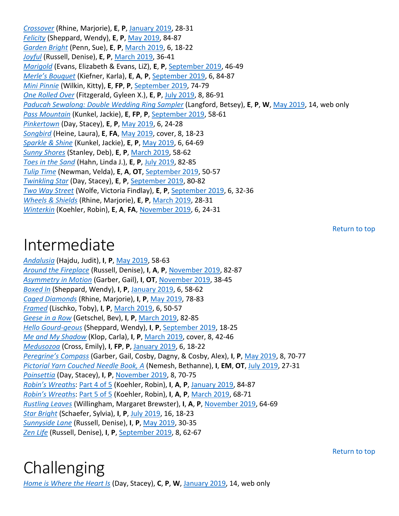*Crossover* (Rhine, Marjorie), **E**, **P**, January 2019, 28-31 *Felicity* (Sheppard, Wendy), **E**, **P**, May 2019, 84-87 *Garden Bright* (Penn, Sue), **E**, **P**, March 2019, 6, 18-22 *Joyful* (Russell, Denise), **E**, **P**, March 2019, 36-41 *Marigold* (Evans, Elizabeth & Evans, LiZ), **E**, **P**, September 2019, 46-49 *Merle's Bouquet* (Kiefner, Karla), **E**, **A**, **P**, September 2019, 6, 84-87 *Mini Pinnie* (Wilkin, Kitty), **E**, **FP**, **P**, September 2019, 74-79 *One Rolled Over* (Fitzgerald, Gyleen X.), **E**, **P**, July 2019, 8, 86-91 *Paducah Sewalong: Double Wedding Ring Sampler* (Langford, Betsey), **E**, **P**, **W**, May 2019, 14, web only *Pass Mountain* (Kunkel, Jackie), **E**, **FP**, **P**, September 2019, 58-61 *Pinkertown* (Day, Stacey), **E**, **P**, May 2019, 6, 24-28 *Songbird* (Heine, Laura), **E**, **FA**, May 2019, cover, 8, 18-23 *Sparkle & Shine* (Kunkel, Jackie), **E**, **P**, May 2019, 6, 64-69 *Sunny Shores* (Stanley, Deb), **E**, **P**, March 2019, 58-62 *Toes in the Sand* (Hahn, Linda J.), **E**, **P**, July 2019, 82-85 *Tulip Time* (Newman, Velda), **E**, **A**, **OT**, September 2019, 50-57 *Twinkling Star* (Day, Stacey), **E**, **P**, September 2019, 80-82 *Two Way Street* (Wolfe, Victoria Findlay), **E**, **P**, September 2019, 6, 32-36 *Wheels & Shields* (Rhine, Marjorie), **E**, **P**, March 2019, 28-31 *Winterkin* (Koehler, Robin), **E**, **A**, **FA**, November 2019, 6, 24-31

## Intermediate

*Andalusia* (Hajdu, Judit), **I**, **P**, May 2019, 58-63 *Around the Fireplace* (Russell, Denise), **I**, **A**, **P**, November 2019, 82-87 *Asymmetry in Motion* (Garber, Gail), **I**, **OT**, November 2019, 38-45 *Boxed In* (Sheppard, Wendy), **I**, **P**, January 2019, 6, 58-62 *Caged Diamonds* (Rhine, Marjorie), **I**, **P**, May 2019, 78-83 *Framed* (Lischko, Toby), **I**, **P**, March 2019, 6, 50-57 *Geese in a Row* (Getschel, Bev), **I**, **P**, March 2019, 82-85 *Hello Gourd-geous* (Sheppard, Wendy), **I**, **P**, September 2019, 18-25 *Me and My Shadow* (Klop, Carla), **I**, **P**, March 2019, cover, 8, 42-46 *Medusozoa* (Cross, Emily), **I**, **FP**, **P**, January 2019, 6, 18-22 *Peregrine's Compass* (Garber, Gail, Cosby, Dagny, & Cosby, Alex), **I**, **P**, May 2019, 8, 70-77 *Pictorial Yarn Couched Needle Book, A* (Nemesh, Bethanne), **I**, **EM**, **OT**, July 2019, 27-31 *Poinsettia* (Day, Stacey), **I**, **P**, November 2019, 8, 70-75 *Robin's Wreath*s: Part 4 of 5 (Koehler, Robin), **I**, **A**, **P**, January 2019, 84-87 *Robin's Wreath*s: Part 5 of 5 (Koehler, Robin), **I**, **A**, **P**, March 2019, 68-71 *Rustling Leaves* (Willingham, Margaret Brewster), **I**, **A**, **P**, November 2019, 64-69 *Star Bright* (Schaefer, Sylvia), **I**, **P**, July 2019, 16, 18-23 *Sunnyside Lane* (Russell, Denise), **I**, **P**, May 2019, 30-35 *Zen Life* (Russell, Denise), **I**, **P**, September 2019, 8, 62-67

Return to top

#### **Challenging** *Home is Where the Heart Is* (Day, Stacey), **C**, **P**, **W**, January 2019, 14, web only

Return to top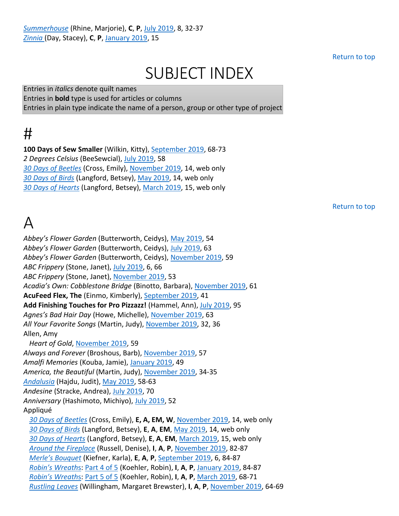Return to top

## SUBJECT INDEX

Entries in *italics* denote quilt names Entries in **bold** type is used for articles or columns Entries in plain type indicate the name of a person, group or other type of project

## #

**100 Days of Sew Smaller** (Wilkin, Kitty), September 2019, 68-73 *2 Degrees Celsius* (BeeSewcial), July 2019, 58 *30 Days of Beetles* (Cross, Emily), November 2019, 14, web only *30 Days of Birds* (Langford, Betsey), May 2019, 14, web only *30 Days of Hearts* (Langford, Betsey), March 2019, 15, web only

Return to top

## $\Delta$

*Abbey's Flower Garden* (Butterworth, Ceidys), May 2019, 54 *Abbey's Flower Garden* (Butterworth, Ceidys), July 2019, 63 *Abbey's Flower Garden* (Butterworth, Ceidys), November 2019, 59 *ABC Frippery* (Stone, Janet), July 2019, 6, 66 *ABC Frippery* (Stone, Janet), November 2019, 53 *Acadia's Own: Cobblestone Bridge* (Binotto, Barbara), November 2019, 61 **AcuFeed Flex, The** (Einmo, Kimberly), September 2019, 41 **Add Finishing Touches for Pro Pizzazz!** (Hammel, Ann), July 2019, 95 *Agnes's Bad Hair Day* (Howe, Michelle), November 2019, 63 *All Your Favorite Songs* (Martin, Judy), November 2019, 32, 36 Allen, Amy *Heart of Gold*, November 2019, 59 *Always and Forever* (Broshous, Barb), November 2019, 57 *Amalfi Memories* (Kouba, Jamie), January 2019, 49 *America, the Beautiful* (Martin, Judy), November 2019, 34-35 *Andalusia* (Hajdu, Judit), May 2019, 58-63 *Andesine* (Stracke, Andrea), July 2019, 70 *Anniversary* (Hashimoto, Michiyo), July 2019, 52 Appliqué *30 Days of Beetles* (Cross, Emily), **E, A, EM, W**, November 2019, 14, web only *30 Days of Birds* (Langford, Betsey), **E**, **A**, **EM**, May 2019, 14, web only *30 Days of Hearts* (Langford, Betsey), **E**, **A**, **EM**, March 2019, 15, web only *Around the Fireplace* (Russell, Denise), **I**, **A**, **P**, November 2019, 82-87 *Merle's Bouquet* (Kiefner, Karla), **E**, **A**, **P**, September 2019, 6, 84-87 *Robin's Wreath*s: Part 4 of 5 (Koehler, Robin), **I**, **A**, **P**, January 2019, 84-87 *Robin's Wreath*s: Part 5 of 5 (Koehler, Robin), **I**, **A**, **P**, March 2019, 68-71 *Rustling Leaves* (Willingham, Margaret Brewster), **I**, **A**, **P**, November 2019, 64-69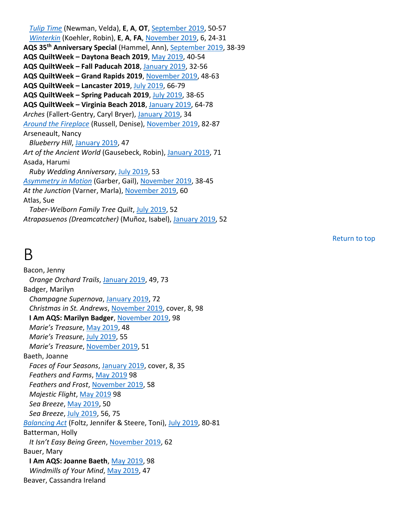*Tulip Time* (Newman, Velda), **E**, **A**, **OT**, September 2019, 50-57 *Winterkin* (Koehler, Robin), **E**, **A**, **FA**, November 2019, 6, 24-31 **AQS 35th Anniversary Special** (Hammel, Ann), September 2019, 38-39 **AQS QuiltWeek – Daytona Beach 2019**, May 2019, 40-54 **AQS QuiltWeek – Fall Paducah 2018**, January 2019, 32-56 **AQS QuiltWeek – Grand Rapids 2019**, November 2019, 48-63 **AQS QuiltWeek – Lancaster 2019**, July 2019, 66-79 **AQS QuiltWeek – Spring Paducah 2019**, July 2019, 38-65 **AQS QuiltWeek – Virginia Beach 2018**, January 2019, 64-78 *Arches* (Fallert-Gentry, Caryl Bryer), January 2019, 34 *Around the Fireplace* (Russell, Denise), November 2019, 82-87 Arseneault, Nancy *Blueberry Hill*, January 2019, 47 *Art of the Ancient World* (Gausebeck, Robin), January 2019, 71 Asada, Harumi *Ruby Wedding Anniversary*, July 2019, 53 *Asymmetry in Motion* (Garber, Gail), November 2019, 38-45 *At the Junction* (Varner, Marla), November 2019, 60 Atlas, Sue *Taber-Welborn Family Tree Quilt*, July 2019, 52 *Atrapasuenos (Dreamcatcher)* (Muñoz, Isabel), January 2019, 52

Return to top

#### B

Bacon, Jenny *Orange Orchard Trails*, January 2019, 49, 73 Badger, Marilyn *Champagne Supernova*, January 2019, 72 *Christmas in St. Andrews*, November 2019, cover, 8, 98 **I Am AQS: Marilyn Badger**, November 2019, 98 *Marie's Treasure*, May 2019, 48 *Marie's Treasure*, July 2019, 55 *Marie's Treasure*, November 2019, 51 Baeth, Joanne *Faces of Four Seasons*, January 2019, cover, 8, 35 *Feathers and Farms*, May 2019 98 *Feathers and Frost*, November 2019, 58 *Majestic Flight*, May 2019 98 *Sea Breeze*, May 2019, 50 *Sea Breeze*, July 2019, 56, 75 *Balancing Act* (Foltz, Jennifer & Steere, Toni), July 2019, 80-81 Batterman, Holly *It Isn't Easy Being Green*, November 2019, 62 Bauer, Mary **I Am AQS: Joanne Baeth**, May 2019, 98 *Windmills of Your Mind*, May 2019, 47 Beaver, Cassandra Ireland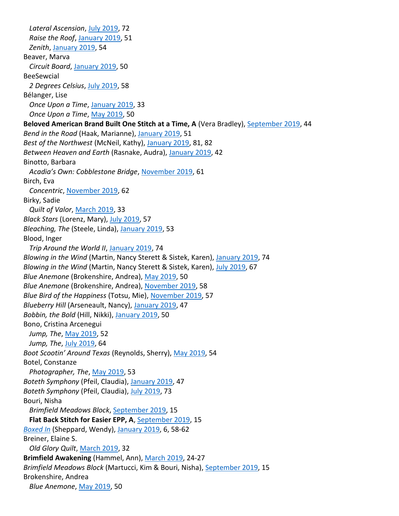*Lateral Ascension*, July 2019, 72 *Raise the Roof*, January 2019, 51 *Zenith*, January 2019, 54 Beaver, Marva *Circuit Board*, January 2019, 50 BeeSewcial *2 Degrees Celsius*, July 2019, 58 Bélanger, Lise *Once Upon a Time*, January 2019, 33 *Once Upon a Time*, May 2019, 50 **Beloved American Brand Built One Stitch at a Time, A** (Vera Bradley), September 2019, 44 *Bend in the Road* (Haak, Marianne), January 2019, 51 *Best of the Northwest* (McNeil, Kathy), January 2019, 81, 82 *Between Heaven and Earth* (Rasnake, Audra), January 2019, 42 Binotto, Barbara *Acadia's Own: Cobblestone Bridge*, November 2019, 61 Birch, Eva *Concentric*, November 2019, 62 Birky, Sadie *Quilt of Valor*, March 2019, 33 *Black Stars* (Lorenz, Mary), July 2019, 57 *Bleaching, The* (Steele, Linda), January 2019, 53 Blood, Inger *Trip Around the World II*, January 2019, 74 *Blowing in the Wind* (Martin, Nancy Sterett & Sistek, Karen), January 2019, 74 *Blowing in the Wind* (Martin, Nancy Sterett & Sistek, Karen), July 2019, 67 *Blue Anemone* (Brokenshire, Andrea), May 2019, 50 *Blue Anemone* (Brokenshire, Andrea), November 2019, 58 *Blue Bird of the Happiness* (Totsu, Mie), November 2019, 57 *Blueberry Hill* (Arseneault, Nancy), January 2019, 47 *Bobbin, the Bold* (Hill, Nikki), January 2019, 50 Bono, Cristina Arcenegui *Jump, The*, May 2019, 52 *Jump, The*, July 2019, 64 *Boot Scootin' Around Texas* (Reynolds, Sherry), May 2019, 54 Botel, Constanze *Photographer, The*, May 2019, 53 *Boteth Symphony* (Pfeil, Claudia), January 2019, 47 *Boteth Symphony* (Pfeil, Claudia), July 2019, 73 Bouri, Nisha *Brimfield Meadows Block*, September 2019, 15 **Flat Back Stitch for Easier EPP, A**, September 2019, 15 *Boxed In* (Sheppard, Wendy), January 2019, 6, 58-62 Breiner, Elaine S. *Old Glory Quilt*, March 2019, 32 **Brimfield Awakening** (Hammel, Ann), March 2019, 24-27 *Brimfield Meadows Block* (Martucci, Kim & Bouri, Nisha), September 2019, 15 Brokenshire, Andrea *Blue Anemone*, May 2019, 50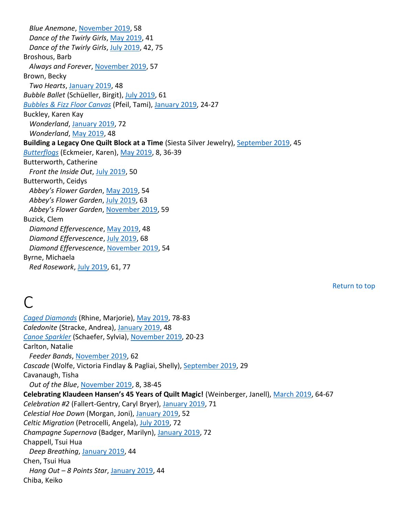*Blue Anemone*, November 2019, 58 *Dance of the Twirly Girls*, May 2019, 41 *Dance of the Twirly Girls*, July 2019, 42, 75 Broshous, Barb *Always and Forever*, November 2019, 57 Brown, Becky *Two Hearts*, January 2019, 48 *Bubble Ballet* (Schüeller, Birgit), July 2019, 61 *Bubbles & Fizz Floor Canvas* (Pfeil, Tami), January 2019, 24-27 Buckley, Karen Kay *Wonderland*, January 2019, 72 *Wonderland*, May 2019, 48 **Building a Legacy One Quilt Block at a Time** (Siesta Silver Jewelry), September 2019, 45 *Butterflogs* (Eckmeier, Karen), May 2019, 8, 36-39 Butterworth, Catherine *Front the Inside Out*, July 2019, 50 Butterworth, Ceidys *Abbey's Flower Garden*, May 2019, 54 *Abbey's Flower Garden*, July 2019, 63 *Abbey's Flower Garden*, November 2019, 59 Buzick, Clem *Diamond Effervescence*, May 2019, 48 *Diamond Effervescence*, July 2019, 68 *Diamond Effervescence*, November 2019, 54 Byrne, Michaela *Red Rosework*, July 2019, 61, 77

Return to top

## $\bigcap$

*Caged Diamonds* (Rhine, Marjorie), May 2019, 78-83 *Caledonite* (Stracke, Andrea), January 2019, 48 *Canoe Sparkler* (Schaefer, Sylvia), November 2019, 20-23 Carlton, Natalie *Feeder Bands*, November 2019, 62 *Cascade* (Wolfe, Victoria Findlay & Pagliai, Shelly), September 2019, 29 Cavanaugh, Tisha *Out of the Blue*, November 2019, 8, 38-45 **Celebrating Klaudeen Hansen's 45 Years of Quilt Magic!** (Weinberger, Janell), March 2019, 64-67 *Celebration #2* (Fallert-Gentry, Caryl Bryer), January 2019, 71 *Celestial Hoe Down* (Morgan, Joni), January 2019, 52 *Celtic Migration* (Petrocelli, Angela), July 2019, 72 *Champagne Supernova* (Badger, Marilyn), January 2019, 72 Chappell, Tsui Hua *Deep Breathing*, January 2019, 44 Chen, Tsui Hua *Hang Out – 8 Points Star*, January 2019, 44 Chiba, Keiko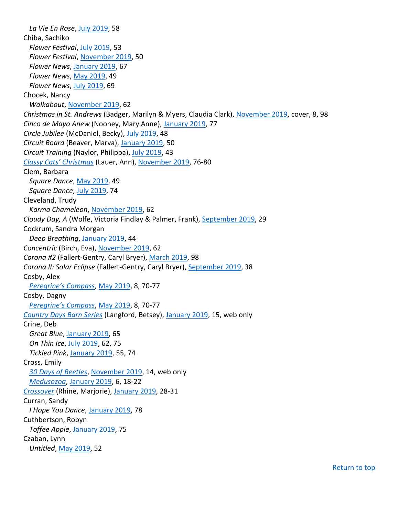*La Vie En Rose*, July 2019, 58 Chiba, Sachiko *Flower Festival*, July 2019, 53 *Flower Festival*, November 2019, 50 *Flower News*, January 2019, 67 *Flower News*, May 2019, 49 *Flower News*, July 2019, 69 Chocek, Nancy *Walkabout*, November 2019, 62 *Christmas in St. Andrews* (Badger, Marilyn & Myers, Claudia Clark), November 2019, cover, 8, 98 *Cinco de Mayo Anew* (Nooney, Mary Anne), January 2019, 77 *Circle Jubilee* (McDaniel, Becky), July 2019, 48 *Circuit Board* (Beaver, Marva), January 2019, 50 *Circuit Training* (Naylor, Philippa), July 2019, 43 *Classy Cats' Christmas* (Lauer, Ann), November 2019, 76-80 Clem, Barbara *Square Dance*, May 2019, 49 *Square Dance*, July 2019, 74 Cleveland, Trudy *Karma Chameleon*, November 2019, 62 *Cloudy Day, A* (Wolfe, Victoria Findlay & Palmer, Frank), September 2019, 29 Cockrum, Sandra Morgan *Deep Breathing*, January 2019, 44 *Concentric* (Birch, Eva), November 2019, 62 *Corona #2* (Fallert-Gentry, Caryl Bryer), March 2019, 98 *Corona II: Solar Eclipse* (Fallert-Gentry, Caryl Bryer), September 2019, 38 Cosby, Alex *Peregrine's Compass*, May 2019, 8, 70-77 Cosby, Dagny *Peregrine's Compass*, May 2019, 8, 70-77 *Country Days Barn Series* (Langford, Betsey), January 2019, 15, web only Crine, Deb *Great Blue*, January 2019, 65 *On Thin Ice*, July 2019, 62, 75 *Tickled Pink*, January 2019, 55, 74 Cross, Emily *30 Days of Beetles*, November 2019, 14, web only *Medusozoa*, January 2019, 6, 18-22 *Crossover* (Rhine, Marjorie), January 2019, 28-31 Curran, Sandy *I Hope You Dance*, January 2019, 78 Cuthbertson, Robyn *Toffee Apple*, January 2019, 75 Czaban, Lynn *Untitled*, May 2019, 52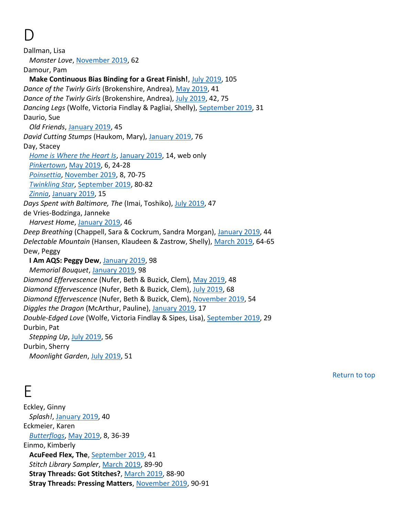## D

Dallman, Lisa *Monster Love*, November 2019, 62 Damour, Pam **Make Continuous Bias Binding for a Great Finish!**, July 2019, 105 *Dance of the Twirly Girls* (Brokenshire, Andrea), May 2019, 41 *Dance of the Twirly Girls* (Brokenshire, Andrea), July 2019, 42, 75 *Dancing Legs* (Wolfe, Victoria Findlay & Pagliai, Shelly), September 2019, 31 Daurio, Sue *Old Friends*, January 2019, 45 *David Cutting Stumps* (Haukom, Mary), January 2019, 76 Day, Stacey *Home is Where the Heart Is*, January 2019, 14, web only *Pinkertown*, May 2019, 6, 24-28 *Poinsettia*, November 2019, 8, 70-75 *Twinkling Star*, September 2019, 80-82 *Zinnia*, January 2019, 15 *Days Spent with Baltimore, The* (Imai, Toshiko), July 2019, 47 de Vries-Bodzinga, Janneke *Harvest Home*, January 2019, 46 *Deep Breathing* (Chappell, Sara & Cockrum, Sandra Morgan), January 2019, 44 *Delectable Mountain* (Hansen, Klaudeen & Zastrow, Shelly), March 2019, 64-65 Dew, Peggy **I Am AQS: Peggy Dew**, January 2019, 98 *Memorial Bouquet*, January 2019, 98 *Diamond Effervescence* (Nufer, Beth & Buzick, Clem), May 2019, 48 *Diamond Effervescence* (Nufer, Beth & Buzick, Clem), July 2019, 68 *Diamond Effervescence* (Nufer, Beth & Buzick, Clem), November 2019, 54 *Diggles the Dragon* (McArthur, Pauline), January 2019, 17 *Double-Edged Love* (Wolfe, Victoria Findlay & Sipes, Lisa), September 2019, 29 Durbin, Pat *Stepping Up*, July 2019, 56 Durbin, Sherry *Moonlight Garden*, July 2019, 51

Return to top

#### E

Eckley, Ginny *Splash!*, January 2019, 40 Eckmeier, Karen *Butterflogs*, May 2019, 8, 36-39 Einmo, Kimberly **AcuFeed Flex, The**, September 2019, 41 *Stitch Library Sampler*, March 2019, 89-90 **Stray Threads: Got Stitches?**, March 2019, 88-90 **Stray Threads: Pressing Matters**, November 2019, 90-91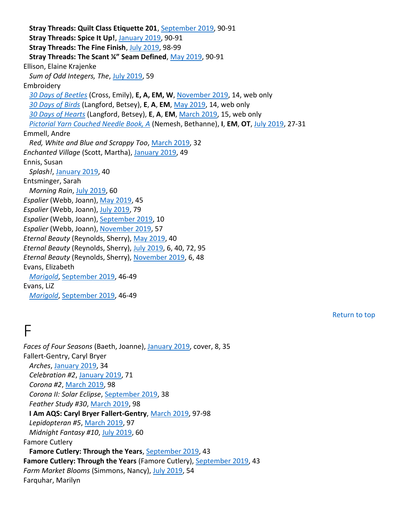**Stray Threads: Quilt Class Etiquette 201**, September 2019, 90-91 **Stray Threads: Spice It Up!**, January 2019, 90-91 **Stray Threads: The Fine Finish**, July 2019, 98-99 **Stray Threads: The Scant ¼" Seam Defined**, May 2019, 90-91 Ellison, Elaine Krajenke *Sum of Odd Integers, The*, July 2019, 59 Embroidery *30 Days of Beetles* (Cross, Emily), **E, A, EM, W**, November 2019, 14, web only *30 Days of Birds* (Langford, Betsey), **E**, **A**, **EM**, May 2019, 14, web only *30 Days of Hearts* (Langford, Betsey), **E**, **A**, **EM**, March 2019, 15, web only *Pictorial Yarn Couched Needle Book, A* (Nemesh, Bethanne), **I**, **EM**, **OT**, July 2019, 27-31 Emmell, Andre *Red, White and Blue and Scrappy Too*, March 2019, 32 *Enchanted Village* (Scott, Martha), January 2019, 49 Ennis, Susan *Splash!*, January 2019, 40 Entsminger, Sarah *Morning Rain*, July 2019, 60 *Espalier* (Webb, Joann), May 2019, 45 *Espalier* (Webb, Joann), July 2019, 79 *Espalier* (Webb, Joann), September 2019, 10 *Espalier* (Webb, Joann), November 2019, 57 *Eternal Beauty* (Reynolds, Sherry), May 2019, 40 *Eternal Beauty* (Reynolds, Sherry), July 2019, 6, 40, 72, 95 *Eternal Beauty* (Reynolds, Sherry), November 2019, 6, 48 Evans, Elizabeth *Marigold*, September 2019, 46-49 Evans, LiZ *Marigold*, September 2019, 46-49

Return to top

#### F

*Faces of Four Seasons* (Baeth, Joanne), January 2019, cover, 8, 35 Fallert-Gentry, Caryl Bryer *Arches*, January 2019, 34 *Celebration #2*, January 2019, 71 *Corona #2*, March 2019, 98 *Corona II: Solar Eclipse*, September 2019, 38 *Feather Study #30*, March 2019, 98 **I Am AQS: Caryl Bryer Fallert-Gentry**, March 2019, 97-98 *Lepidopteran #5*, March 2019, 97 *Midnight Fantasy #10*, July 2019, 60 Famore Cutlery **Famore Cutlery: Through the Years**, September 2019, 43 **Famore Cutlery: Through the Years** (Famore Cutlery), September 2019, 43 *Farm Market Blooms* (Simmons, Nancy), July 2019, 54 Farquhar, Marilyn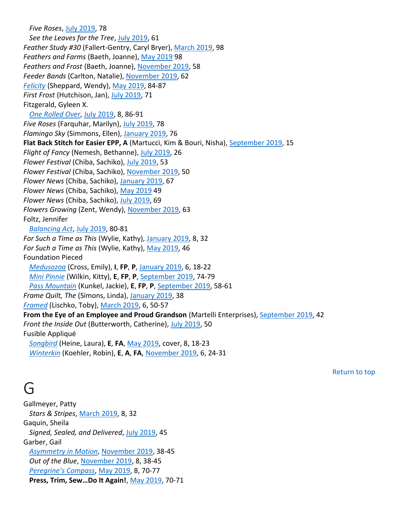*Five Roses*, July 2019, 78 *See the Leaves for the Tree*, July 2019, 61 *Feather Study #30* (Fallert-Gentry, Caryl Bryer), March 2019, 98 *Feathers and Farms* (Baeth, Joanne), May 2019 98 *Feathers and Frost* (Baeth, Joanne), November 2019, 58 *Feeder Bands* (Carlton, Natalie), November 2019, 62 *Felicity* (Sheppard, Wendy), May 2019, 84-87 *First Frost* (Hutchison, Jan), July 2019, 71 Fitzgerald, Gyleen X. *One Rolled Over*, July 2019, 8, 86-91 *Five Roses* (Farquhar, Marilyn), July 2019, 78 *Flamingo Sky* (Simmons, Ellen), January 2019, 76 **Flat Back Stitch for Easier EPP, A** (Martucci, Kim & Bouri, Nisha), September 2019, 15 *Flight of Fancy* (Nemesh, Bethanne), July 2019, 26 *Flower Festival* (Chiba, Sachiko), July 2019, 53 *Flower Festival* (Chiba, Sachiko), November 2019, 50 *Flower News* (Chiba, Sachiko), January 2019, 67 *Flower News* (Chiba, Sachiko), May 2019 49 *Flower News* (Chiba, Sachiko), July 2019, 69 *Flowers Growing* (Zent, Wendy), November 2019, 63 Foltz, Jennifer *Balancing Act*, July 2019, 80-81 *For Such a Time as This* (Wylie, Kathy), January 2019, 8, 32 *For Such a Time as This* (Wylie, Kathy), May 2019, 46 Foundation Pieced *Medusozoa* (Cross, Emily), **I**, **FP**, **P**, January 2019, 6, 18-22 *Mini Pinnie* (Wilkin, Kitty), **E**, **FP**, **P**, September 2019, 74-79 *Pass Mountain* (Kunkel, Jackie), **E**, **FP**, **P**, September 2019, 58-61 *Frame Quilt, The* (Simons, Linda), January 2019, 38 *Framed* (Lischko, Toby), March 2019, 6, 50-57 **From the Eye of an Employee and Proud Grandson** (Martelli Enterprises), September 2019, 42 *Front the Inside Out* (Butterworth, Catherine), July 2019, 50 Fusible Appliqué *Songbird* (Heine, Laura), **E**, **FA**, May 2019, cover, 8, 18-23 *Winterkin* (Koehler, Robin), **E**, **A**, **FA**, November 2019, 6, 24-31

Return to top

#### G

Gallmeyer, Patty *Stars & Stripes*, March 2019, 8, 32 Gaquin, Sheila *Signed, Sealed, and Delivered*, July 2019, 45 Garber, Gail *Asymmetry in Motion*, November 2019, 38-45 *Out of the Blue*, November 2019, 8, 38-45 *Peregrine's Compass*, May 2019, 8, 70-77 **Press, Trim, Sew…Do It Again!**, May 2019, 70-71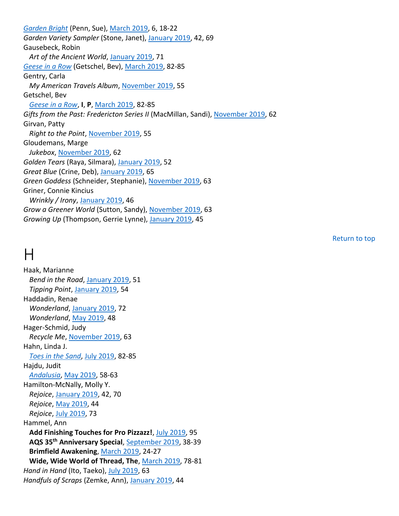*Garden Bright* (Penn, Sue), March 2019, 6, 18-22 *Garden Variety Sampler* (Stone, Janet), January 2019, 42, 69 Gausebeck, Robin *Art of the Ancient World*, January 2019, 71 *Geese in a Row* (Getschel, Bev), March 2019, 82-85 Gentry, Carla *My American Travels Album*, November 2019, 55 Getschel, Bev *Geese in a Row*, **I**, **P**, March 2019, 82-85 *Gifts from the Past: Fredericton Series II* (MacMillan, Sandi), November 2019, 62 Girvan, Patty *Right to the Point*, November 2019, 55 Gloudemans, Marge *Jukebox*, November 2019, 62 *Golden Tears* (Raya, Silmara), January 2019, 52 *Great Blue* (Crine, Deb), January 2019, 65 *Green Goddess* (Schneider, Stephanie), November 2019, 63 Griner, Connie Kincius *Wrinkly / Irony*, January 2019, 46 *Grow a Greener World* (Sutton, Sandy), November 2019, 63 *Growing Up* (Thompson, Gerrie Lynne), January 2019, 45

Return to top

#### H

Haak, Marianne *Bend in the Road*, January 2019, 51 *Tipping Point*, January 2019, 54 Haddadin, Renae *Wonderland*, January 2019, 72 *Wonderland*, May 2019, 48 Hager-Schmid, Judy *Recycle Me*, November 2019, 63 Hahn, Linda J. *Toes in the Sand*, July 2019, 82-85 Hajdu, Judit *Andalusia*, May 2019, 58-63 Hamilton-McNally, Molly Y. *Rejoice*, January 2019, 42, 70 *Rejoice*, May 2019, 44 *Rejoice*, July 2019, 73 Hammel, Ann **Add Finishing Touches for Pro Pizzazz!**, July 2019, 95 **AQS 35th Anniversary Special**, September 2019, 38-39 **Brimfield Awakening**, March 2019, 24-27 **Wide, Wide World of Thread, The**, March 2019, 78-81 *Hand in Hand* (Ito, Taeko), July 2019, 63 *Handfuls of Scraps* (Zemke, Ann), January 2019, 44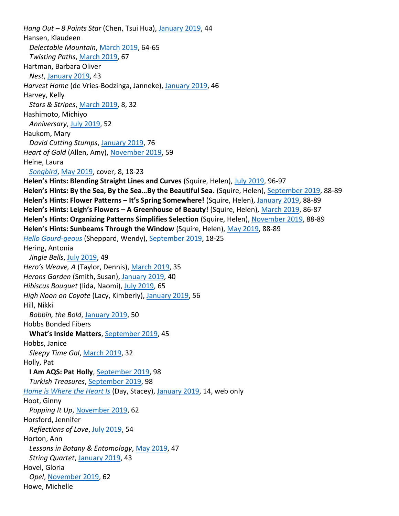*Hang Out – 8 Points Star* (Chen, Tsui Hua), January 2019, 44 Hansen, Klaudeen *Delectable Mountain*, March 2019, 64-65 *Twisting Paths*, March 2019, 67 Hartman, Barbara Oliver *Nest*, January 2019, 43 *Harvest Home* (de Vries-Bodzinga, Janneke), January 2019, 46 Harvey, Kelly *Stars & Stripes*, March 2019, 8, 32 Hashimoto, Michiyo *Anniversary*, July 2019, 52 Haukom, Mary *David Cutting Stumps*, January 2019, 76 *Heart of Gold* (Allen, Amy), November 2019, 59 Heine, Laura *Songbird*, May 2019, cover, 8, 18-23 **Helen's Hints: Blending Straight Lines and Curves** (Squire, Helen), July 2019, 96-97 **Helen's Hints: By the Sea, By the Sea…By the Beautiful Sea.** (Squire, Helen), September 2019, 88-89 **Helen's Hints: Flower Patterns – It's Spring Somewhere!** (Squire, Helen), January 2019, 88-89 **Helen's Hints: Leigh's Flowers – A Greenhouse of Beauty!** (Squire, Helen), March 2019, 86-87 **Helen's Hints: Organizing Patterns Simplifies Selection** (Squire, Helen), November 2019, 88-89 **Helen's Hints: Sunbeams Through the Window** (Squire, Helen), May 2019, 88-89 *Hello Gourd-geous* (Sheppard, Wendy), September 2019, 18-25 Hering, Antonia *Jingle Bells*, July 2019, 49 *Hero's Weave, A* (Taylor, Dennis), March 2019, 35 *Herons Garden* (Smith, Susan), January 2019, 40 *Hibiscus Bouquet* (Iida, Naomi), July 2019, 65 *High Noon on Coyote* (Lacy, Kimberly), January 2019, 56 Hill, Nikki *Bobbin, the Bold*, January 2019, 50 Hobbs Bonded Fibers **What's Inside Matters**, September 2019, 45 Hobbs, Janice *Sleepy Time Gal*, March 2019, 32 Holly, Pat **I Am AQS: Pat Holly**, September 2019, 98 *Turkish Treasures*, September 2019, 98 *Home is Where the Heart Is* (Day, Stacey), January 2019, 14, web only Hoot, Ginny *Popping It Up*, November 2019, 62 Horsford, Jennifer *Reflections of Love*, July 2019, 54 Horton, Ann *Lessons in Botany & Entomology*, May 2019, 47 *String Quartet*, January 2019, 43 Hovel, Gloria *Opel*, November 2019, 62 Howe, Michelle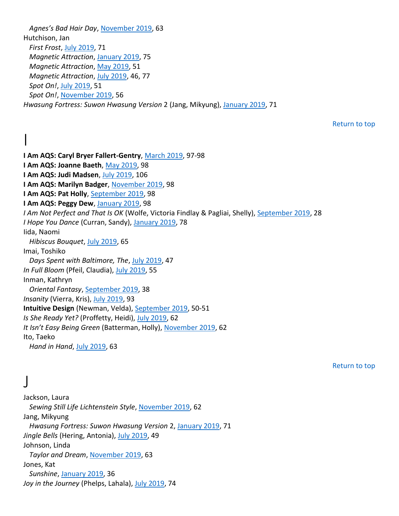*Agnes's Bad Hair Day*, November 2019, 63 Hutchison, Jan *First Frost*, July 2019, 71 *Magnetic Attraction*, January 2019, 75 *Magnetic Attraction*, May 2019, 51 *Magnetic Attraction*, July 2019, 46, 77 *Spot On!*, July 2019, 51 *Spot On!*, November 2019, 56 *Hwasung Fortress: Suwon Hwasung Version* 2 (Jang, Mikyung), January 2019, 71

Return to top

I **I Am AQS: Caryl Bryer Fallert-Gentry**, March 2019, 97-98 **I Am AQS: Joanne Baeth**, May 2019, 98 **I Am AQS: Judi Madsen**, July 2019, 106 **I Am AQS: Marilyn Badger**, November 2019, 98 **I Am AQS: Pat Holly**, September 2019, 98 **I Am AQS: Peggy Dew**, January 2019, 98 *I Am Not Perfect and That Is OK* (Wolfe, Victoria Findlay & Pagliai, Shelly), September 2019, 28 *I Hope You Dance* (Curran, Sandy), January 2019, 78 Iida, Naomi *Hibiscus Bouquet*, July 2019, 65 Imai, Toshiko *Days Spent with Baltimore, The*, July 2019, 47 *In Full Bloom* (Pfeil, Claudia), July 2019, 55 Inman, Kathryn *Oriental Fantasy*, September 2019, 38 *Insanity* (Vierra, Kris), July 2019, 93 **Intuitive Design** (Newman, Velda), September 2019, 50-51 *Is She Ready Yet?* (Proffetty, Heidi), July 2019, 62 *It Isn't Easy Being Green* (Batterman, Holly), November 2019, 62 Ito, Taeko

*Hand in Hand*, July 2019, 63

Return to top

#### J

Jackson, Laura *Sewing Still Life Lichtenstein Style*, November 2019, 62 Jang, Mikyung *Hwasung Fortress: Suwon Hwasung Version* 2, January 2019, 71 *Jingle Bells* (Hering, Antonia), July 2019, 49 Johnson, Linda *Taylor and Dream*, November 2019, 63 Jones, Kat *Sunshine*, January 2019, 36 *Joy in the Journey* (Phelps, Lahala), July 2019, 74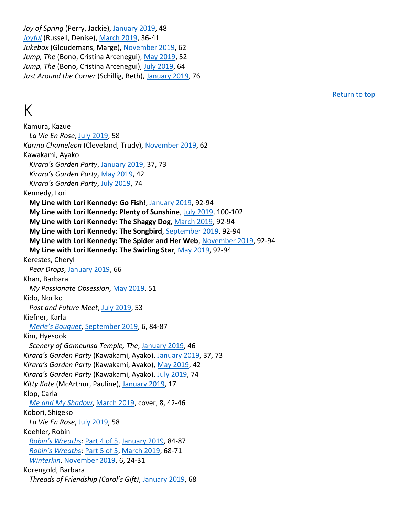*Joy of Spring* (Perry, Jackie), January 2019, 48 *Joyful* (Russell, Denise), March 2019, 36-41 *Jukebox* (Gloudemans, Marge), November 2019, 62 Jump, The (Bono, Cristina Arcenegui), May 2019, 52 *Jump, The* (Bono, Cristina Arcenegui), July 2019, 64 *Just Around the Corner* (Schillig, Beth), January 2019, 76

## K

Kamura, Kazue *La Vie En Rose*, July 2019, 58 *Karma Chameleon* (Cleveland, Trudy), November 2019, 62 Kawakami, Ayako *Kirara's Garden Party*, January 2019, 37, 73 *Kirara's Garden Party*, May 2019, 42 *Kirara's Garden Party*, July 2019, 74 Kennedy, Lori **My Line with Lori Kennedy: Go Fish!**, January 2019, 92-94 **My Line with Lori Kennedy: Plenty of Sunshine**, July 2019, 100-102 **My Line with Lori Kennedy: The Shaggy Dog**, March 2019, 92-94 **My Line with Lori Kennedy: The Songbird**, September 2019, 92-94 **My Line with Lori Kennedy: The Spider and Her Web**, November 2019, 92-94 **My Line with Lori Kennedy: The Swirling Star**, May 2019, 92-94 Kerestes, Cheryl *Pear Drops*, January 2019, 66 Khan, Barbara *My Passionate Obsession*, May 2019, 51 Kido, Noriko *Past and Future Meet*, July 2019, 53 Kiefner, Karla *Merle's Bouquet*, September 2019, 6, 84-87 Kim, Hyesook *Scenery of Gameunsa Temple, The*, January 2019, 46 *Kirara's Garden Party* (Kawakami, Ayako), January 2019, 37, 73 *Kirara's Garden Party* (Kawakami, Ayako), May 2019, 42 *Kirara's Garden Party* (Kawakami, Ayako), July 2019, 74 *Kitty Kate* (McArthur, Pauline), January 2019, 17 Klop, Carla *Me and My Shadow*, March 2019, cover, 8, 42-46 Kobori, Shigeko *La Vie En Rose*, July 2019, 58 Koehler, Robin *Robin's Wreath*s: Part 4 of 5, January 2019, 84-87 *Robin's Wreath*s: Part 5 of 5, March 2019, 68-71 *Winterkin*, November 2019, 6, 24-31 Korengold, Barbara

Return to top

*Threads of Friendship (Carol's Gift)*, January 2019, 68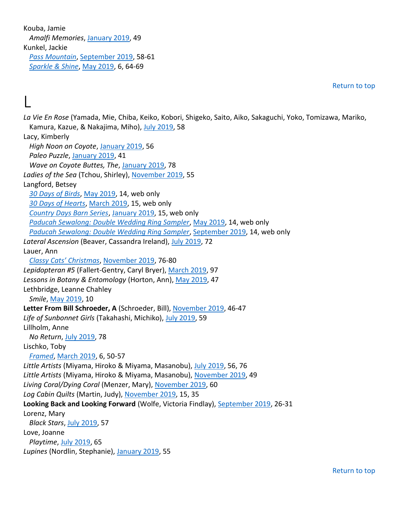Kouba, Jamie *Amalfi Memories*, January 2019, 49 Kunkel, Jackie *Pass Mountain*, September 2019, 58-61 *Sparkle & Shine*, May 2019, 6, 64-69

L

Return to top

*La Vie En Rose* (Yamada, Mie, Chiba, Keiko, Kobori, Shigeko, Saito, Aiko, Sakaguchi, Yoko, Tomizawa, Mariko, Kamura, Kazue, & Nakajima, Miho), July 2019, 58 Lacy, Kimberly *High Noon on Coyote*, January 2019, 56 *Paleo Puzzle*, January 2019, 41 *Wave on Coyote Buttes, The*, January 2019, 78 Ladies of the Sea (Tchou, Shirley), November 2019, 55 Langford, Betsey *30 Days of Birds*, May 2019, 14, web only *30 Days of Hearts*, March 2019, 15, web only *Country Days Barn Series*, January 2019, 15, web only *Paducah Sewalong: Double Wedding Ring Sampler*, May 2019, 14, web only *Paducah Sewalong: Double Wedding Ring Sampler*, September 2019, 14, web only *Lateral Ascension* (Beaver, Cassandra Ireland), July 2019, 72 Lauer, Ann *Classy Cats' Christmas*, November 2019, 76-80 *Lepidopteran #5* (Fallert-Gentry, Caryl Bryer), March 2019, 97 *Lessons in Botany & Entomology* (Horton, Ann), May 2019, 47 Lethbridge, Leanne Chahley *Smile*, May 2019, 10 **Letter From Bill Schroeder, A** (Schroeder, Bill), November 2019, 46-47 *Life of Sunbonnet Girls* (Takahashi, Michiko), July 2019, 59 Lillholm, Anne *No Return*, July 2019, 78 Lischko, Toby *Framed*, March 2019, 6, 50-57 *Little Artists* (Miyama, Hiroko & Miyama, Masanobu), July 2019, 56, 76 *Little Artists* (Miyama, Hiroko & Miyama, Masanobu), November 2019, 49 *Living Coral/Dying Coral* (Menzer, Mary), November 2019, 60 *Log Cabin Quilts* (Martin, Judy), November 2019, 15, 35 **Looking Back and Looking Forward** (Wolfe, Victoria Findlay), September 2019, 26-31 Lorenz, Mary *Black Stars*, July 2019, 57 Love, Joanne *Playtime*, July 2019, 65 *Lupines* (Nordlin, Stephanie), January 2019, 55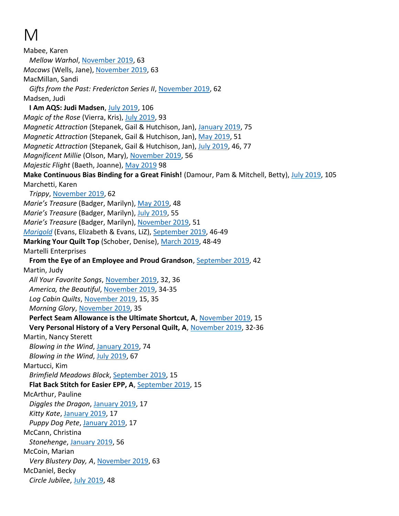# M

Mabee, Karen *Mellow Warhol*, November 2019, 63 *Macaws* (Wells, Jane), November 2019, 63 MacMillan, Sandi *Gifts from the Past: Fredericton Series II*, November 2019, 62 Madsen, Judi **I Am AQS: Judi Madsen**, July 2019, 106 *Magic of the Rose* (Vierra, Kris), July 2019, 93 *Magnetic Attraction* (Stepanek, Gail & Hutchison, Jan), January 2019, 75 *Magnetic Attraction* (Stepanek, Gail & Hutchison, Jan), May 2019, 51 *Magnetic Attraction* (Stepanek, Gail & Hutchison, Jan), July 2019, 46, 77 *Magnificent Millie* (Olson, Mary), November 2019, 56 *Majestic Flight* (Baeth, Joanne), May 2019 98 **Make Continuous Bias Binding for a Great Finish!** (Damour, Pam & Mitchell, Betty), July 2019, 105 Marchetti, Karen *Trippy*, November 2019, 62 *Marie's Treasure* (Badger, Marilyn), May 2019, 48 *Marie's Treasure* (Badger, Marilyn), July 2019, 55 *Marie's Treasure* (Badger, Marilyn), November 2019, 51 *Marigold* (Evans, Elizabeth & Evans, LiZ), September 2019, 46-49 **Marking Your Quilt Top** (Schober, Denise), March 2019, 48-49 Martelli Enterprises **From the Eye of an Employee and Proud Grandson**, September 2019, 42 Martin, Judy *All Your Favorite Songs*, November 2019, 32, 36 *America, the Beautiful*, November 2019, 34-35 *Log Cabin Quilts*, November 2019, 15, 35 *Morning Glory*, November 2019, 35 **Perfect Seam Allowance is the Ultimate Shortcut, A**, November 2019, 15 **Very Personal History of a Very Personal Quilt, A**, November 2019, 32-36 Martin, Nancy Sterett *Blowing in the Wind*, January 2019, 74 *Blowing in the Wind*, July 2019, 67 Martucci, Kim *Brimfield Meadows Block*, September 2019, 15 **Flat Back Stitch for Easier EPP, A**, September 2019, 15 McArthur, Pauline *Diggles the Dragon*, January 2019, 17 *Kitty Kate*, January 2019, 17 *Puppy Dog Pete*, January 2019, 17 McCann, Christina *Stonehenge*, January 2019, 56 McCoin, Marian *Very Blustery Day, A*, November 2019, 63 McDaniel, Becky *Circle Jubilee*, July 2019, 48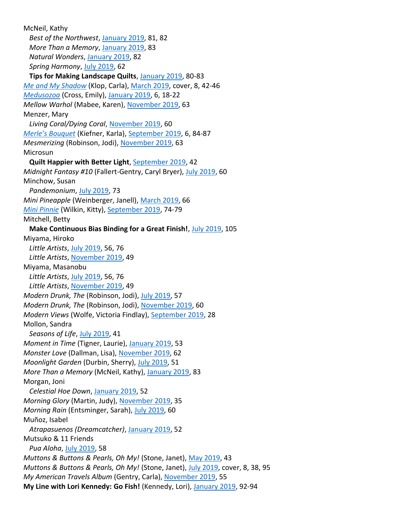McNeil, Kathy *Best of the Northwest*, January 2019, 81, 82 *More Than a Memory*, January 2019, 83 *Natural Wonders*, January 2019, 82 *Spring Harmony*, July 2019, 62 **Tips for Making Landscape Quilts**, January 2019, 80-83 *Me and My Shadow* (Klop, Carla), March 2019, cover, 8, 42-46 *Medusozoa* (Cross, Emily), January 2019, 6, 18-22 *Mellow Warhol* (Mabee, Karen), November 2019, 63 Menzer, Mary *Living Coral/Dying Coral*, November 2019, 60 *Merle's Bouquet* (Kiefner, Karla), September 2019, 6, 84-87 *Mesmerizing* (Robinson, Jodi), November 2019, 63 Microsun **Quilt Happier with Better Light**, September 2019, 42 *Midnight Fantasy #10* (Fallert-Gentry, Caryl Bryer), July 2019, 60 Minchow, Susan *Pandemonium*, July 2019, 73 *Mini Pineapple* (Weinberger, Janell), March 2019, 66 *Mini Pinnie* (Wilkin, Kitty), September 2019, 74-79 Mitchell, Betty **Make Continuous Bias Binding for a Great Finish!**, July 2019, 105 Miyama, Hiroko *Little Artists*, July 2019, 56, 76 *Little Artists*, November 2019, 49 Miyama, Masanobu *Little Artists*, July 2019, 56, 76 *Little Artists*, November 2019, 49 *Modern Drunk, The* (Robinson, Jodi), July 2019, 57 *Modern Drunk, The* (Robinson, Jodi), November 2019, 60 *Modern Views* (Wolfe, Victoria Findlay), September 2019, 28 Mollon, Sandra *Seasons of Life*, July 2019, 41 *Moment in Time* (Tigner, Laurie), January 2019, 53 *Monster Love* (Dallman, Lisa), November 2019, 62 *Moonlight Garden* (Durbin, Sherry), July 2019, 51 *More Than a Memory* (McNeil, Kathy), January 2019, 83 Morgan, Joni *Celestial Hoe Down*, January 2019, 52 *Morning Glory* (Martin, Judy), November 2019, 35 *Morning Rain* (Entsminger, Sarah), July 2019, 60 Muñoz, Isabel *Atrapasuenos (Dreamcatcher)*, January 2019, 52 Mutsuko & 11 Friends *Pua Aloha*, July 2019, 58 *Muttons & Buttons & Pearls, Oh My!* (Stone, Janet), May 2019, 43 *Muttons & Buttons & Pearls, Oh My!* (Stone, Janet), July 2019, cover, 8, 38, 95 *My American Travels Album* (Gentry, Carla), November 2019, 55 **My Line with Lori Kennedy: Go Fish!** (Kennedy, Lori), January 2019, 92-94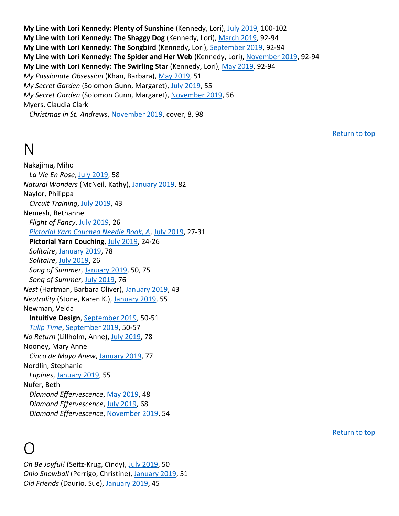**My Line with Lori Kennedy: Plenty of Sunshine** (Kennedy, Lori), July 2019, 100-102 **My Line with Lori Kennedy: The Shaggy Dog** (Kennedy, Lori), March 2019, 92-94 **My Line with Lori Kennedy: The Songbird** (Kennedy, Lori), September 2019, 92-94 **My Line with Lori Kennedy: The Spider and Her Web** (Kennedy, Lori), November 2019, 92-94 **My Line with Lori Kennedy: The Swirling Star** (Kennedy, Lori), May 2019, 92-94 *My Passionate Obsession* (Khan, Barbara), May 2019, 51 *My Secret Garden* (Solomon Gunn, Margaret), July 2019, 55 *My Secret Garden* (Solomon Gunn, Margaret), November 2019, 56 Myers, Claudia Clark *Christmas in St. Andrews*, November 2019, cover, 8, 98

Return to top

## N

Nakajima, Miho *La Vie En Rose*, July 2019, 58 *Natural Wonders* (McNeil, Kathy), January 2019, 82 Naylor, Philippa *Circuit Training*, July 2019, 43 Nemesh, Bethanne *Flight of Fancy*, July 2019, 26 *Pictorial Yarn Couched Needle Book, A*, July 2019, 27-31 **Pictorial Yarn Couching**, July 2019, 24-26 *Solitaire*, January 2019, 78 *Solitaire*, July 2019, 26 *Song of Summer*, January 2019, 50, 75 *Song of Summer*, July 2019, 76 *Nest* (Hartman, Barbara Oliver), January 2019, 43 *Neutrality* (Stone, Karen K.), January 2019, 55 Newman, Velda **Intuitive Design**, September 2019, 50-51 *Tulip Time*, September 2019, 50-57 *No Return* (Lillholm, Anne), July 2019, 78 Nooney, Mary Anne *Cinco de Mayo Anew*, January 2019, 77 Nordlin, Stephanie *Lupines*, January 2019, 55 Nufer, Beth *Diamond Effervescence*, May 2019, 48 *Diamond Effervescence*, July 2019, 68 *Diamond Effervescence*, November 2019, 54

## O

*Oh Be Joyful!* (Seitz-Krug, Cindy), July 2019, 50 *Ohio Snowball* (Perrigo, Christine), January 2019, 51 *Old Friends* (Daurio, Sue), January 2019, 45

Return to top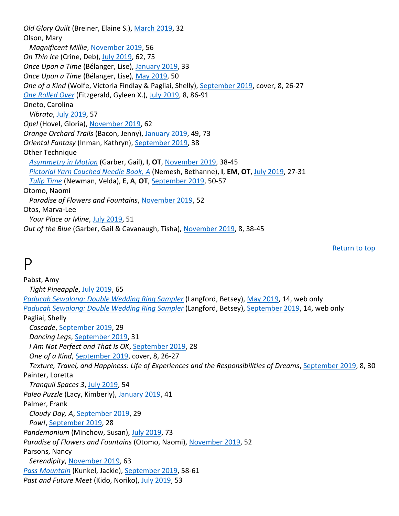*Old Glory Quilt* (Breiner, Elaine S.), March 2019, 32 Olson, Mary *Magnificent Millie*, November 2019, 56 *On Thin Ice* (Crine, Deb), July 2019, 62, 75 *Once Upon a Time* (Bélanger, Lise), January 2019, 33 *Once Upon a Time* (Bélanger, Lise), May 2019, 50 *One of a Kind* (Wolfe, Victoria Findlay & Pagliai, Shelly), September 2019, cover, 8, 26-27 *One Rolled Over* (Fitzgerald, Gyleen X.), July 2019, 8, 86-91 Oneto, Carolina *Vibrato*, July 2019, 57 *Opel* (Hovel, Gloria), November 2019, 62 *Orange Orchard Trails* (Bacon, Jenny), January 2019, 49, 73 *Oriental Fantasy* (Inman, Kathryn), September 2019, 38 Other Technique *Asymmetry in Motion* (Garber, Gail), **I**, **OT**, November 2019, 38-45 *Pictorial Yarn Couched Needle Book, A* (Nemesh, Bethanne), **I**, **EM**, **OT**, July 2019, 27-31 *Tulip Time* (Newman, Velda), **E**, **A**, **OT**, September 2019, 50-57 Otomo, Naomi *Paradise of Flowers and Fountains*, November 2019, 52 Otos, Marva-Lee *Your Place or Mine*, July 2019, 51 *Out of the Blue* (Garber, Gail & Cavanaugh, Tisha), November 2019, 8, 38-45

Return to top

#### P

Pabst, Amy *Tight Pineapple*, July 2019, 65 *Paducah Sewalong: Double Wedding Ring Sampler* (Langford, Betsey), May 2019, 14, web only *Paducah Sewalong: Double Wedding Ring Sampler* (Langford, Betsey), September 2019, 14, web only Pagliai, Shelly *Cascade*, September 2019, 29 *Dancing Legs*, September 2019, 31 *I Am Not Perfect and That Is OK*, September 2019, 28 *One of a Kind*, September 2019, cover, 8, 26-27 *Texture, Travel, and Happiness: Life of Experiences and the Responsibilities of Dreams*, September 2019, 8, 30 Painter, Loretta *Tranquil Spaces 3*, July 2019, 54 *Paleo Puzzle* (Lacy, Kimberly), January 2019, 41 Palmer, Frank *Cloudy Day, A*, September 2019, 29 *Pow!*, September 2019, 28 *Pandemonium* (Minchow, Susan), July 2019, 73 *Paradise of Flowers and Fountains* (Otomo, Naomi), November 2019, 52 Parsons, Nancy *Serendipity*, November 2019, 63 *Pass Mountain* (Kunkel, Jackie), September 2019, 58-61 *Past and Future Meet* (Kido, Noriko), July 2019, 53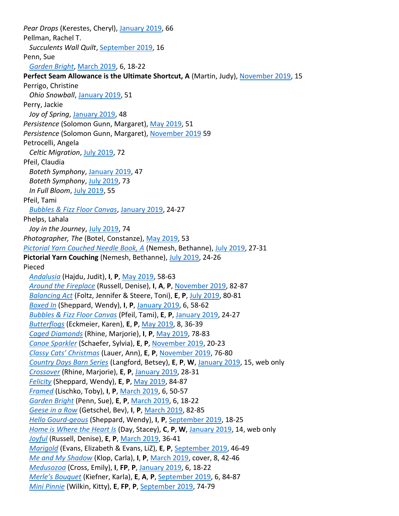*Pear Drops* (Kerestes, Cheryl), January 2019, 66 Pellman, Rachel T. *Succulents Wall Quilt*, September 2019, 16 Penn, Sue *Garden Bright*, March 2019, 6, 18-22 **Perfect Seam Allowance is the Ultimate Shortcut, A** (Martin, Judy), November 2019, 15 Perrigo, Christine *Ohio Snowball*, January 2019, 51 Perry, Jackie *Joy of Spring*, January 2019, 48 *Persistence* (Solomon Gunn, Margaret), May 2019, 51 *Persistence* (Solomon Gunn, Margaret), November 2019 59 Petrocelli, Angela *Celtic Migration*, July 2019, 72 Pfeil, Claudia *Boteth Symphony*, January 2019, 47 *Boteth Symphony*, July 2019, 73 *In Full Bloom*, July 2019, 55 Pfeil, Tami *Bubbles & Fizz Floor Canvas*, January 2019, 24-27 Phelps, Lahala *Joy in the Journey*, July 2019, 74 *Photographer, The* (Botel, Constanze), May 2019, 53 *Pictorial Yarn Couched Needle Book, A* (Nemesh, Bethanne), July 2019, 27-31 Pictorial Yarn Couching (Nemesh, Bethanne), July 2019, 24-26 Pieced *Andalusia* (Hajdu, Judit), **I**, **P**, May 2019, 58-63 *Around the Fireplace* (Russell, Denise), **I**, **A**, **P**, November 2019, 82-87 *Balancing Act* (Foltz, Jennifer & Steere, Toni), **E**, **P**, July 2019, 80-81 *Boxed In* (Sheppard, Wendy), **I**, **P**, January 2019, 6, 58-62 *Bubbles & Fizz Floor Canvas* (Pfeil, Tami), **E**, **P**, January 2019, 24-27 *Butterflogs* (Eckmeier, Karen), **E**, **P**, May 2019, 8, 36-39 *Caged Diamonds* (Rhine, Marjorie), **I**, **P**, May 2019, 78-83 *Canoe Sparkler* (Schaefer, Sylvia), **E**, **P**, November 2019, 20-23 *Classy Cats' Christmas* (Lauer, Ann), **E**, **P**, November 2019, 76-80 *Country Days Barn Series* (Langford, Betsey), **E**, **P**, **W**, January 2019, 15, web only *Crossover* (Rhine, Marjorie), **E**, **P**, January 2019, 28-31 *Felicity* (Sheppard, Wendy), **E**, **P**, May 2019, 84-87 *Framed* (Lischko, Toby), **I**, **P**, March 2019, 6, 50-57 *Garden Bright* (Penn, Sue), **E**, **P**, March 2019, 6, 18-22 *Geese in a Row* (Getschel, Bev), **I**, **P**, March 2019, 82-85 *Hello Gourd-geous* (Sheppard, Wendy), **I**, **P**, September 2019, 18-25 *Home is Where the Heart Is* (Day, Stacey), **C**, **P**, **W**, January 2019, 14, web only *Joyful* (Russell, Denise), **E**, **P**, March 2019, 36-41 *Marigold* (Evans, Elizabeth & Evans, LiZ), **E**, **P**, September 2019, 46-49 *Me and My Shadow* (Klop, Carla), **I**, **P**, March 2019, cover, 8, 42-46 *Medusozoa* (Cross, Emily), **I**, **FP**, **P**, January 2019, 6, 18-22 *Merle's Bouquet* (Kiefner, Karla), **E**, **A**, **P**, September 2019, 6, 84-87 *Mini Pinnie* (Wilkin, Kitty), **E**, **FP**, **P**, September 2019, 74-79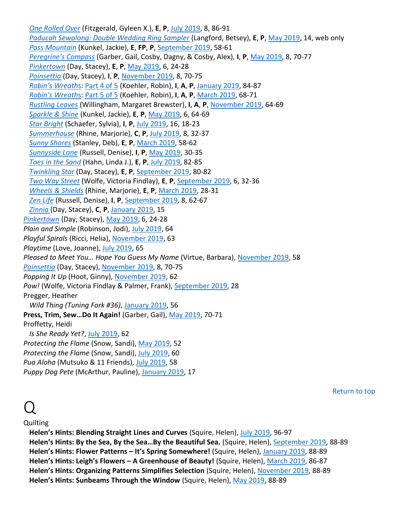*One Rolled Over* (Fitzgerald, Gyleen X.), **E**, **P**, July 2019, 8, 86-91 *Paducah Sewalong: Double Wedding Ring Sampler* (Langford, Betsey), **E**, **P**, May 2019, 14, web only *Pass Mountain* (Kunkel, Jackie), **E**, **FP**, **P**, September 2019, 58-61 *Peregrine's Compass* (Garber, Gail, Cosby, Dagny, & Cosby, Alex), **I**, **P**, May 2019, 8, 70-77 *Pinkertown* (Day, Stacey), **E**, **P**, May 2019, 6, 24-28 *Poinsettia* (Day, Stacey), **I**, **P**, November 2019, 8, 70-75 *Robin's Wreath*s: Part 4 of 5 (Koehler, Robin), **I**, **A**, **P**, January 2019, 84-87 *Robin's Wreath*s: Part 5 of 5 (Koehler, Robin), **I**, **A**, **P**, March 2019, 68-71 *Rustling Leaves* (Willingham, Margaret Brewster), **I**, **A**, **P**, November 2019, 64-69 *Sparkle & Shine* (Kunkel, Jackie), **E**, **P**, May 2019, 6, 64-69 *Star Bright* (Schaefer, Sylvia), **I**, **P**, July 2019, 16, 18-23 *Summerhouse* (Rhine, Marjorie), **C**, **P**, July 2019, 8, 32-37 *Sunny Shores* (Stanley, Deb), **E**, **P**, March 2019, 58-62 *Sunnyside Lane* (Russell, Denise), **I**, **P**, May 2019, 30-35 *Toes in the Sand* (Hahn, Linda J.), **E**, **P**, July 2019, 82-85 *Twinkling Star* (Day, Stacey), **E**, **P**, September 2019, 80-82 *Two Way Street* (Wolfe, Victoria Findlay), **E**, **P**, September 2019, 6, 32-36 *Wheels & Shields* (Rhine, Marjorie), **E**, **P**, March 2019, 28-31 *Zen Life* (Russell, Denise), **I**, **P**, September 2019, 8, 62-67 *Zinnia* (Day, Stacey), **C**, **P**, January 2019, 15 *Pinkertown* (Day, Stacey), May 2019, 6, 24-28 *Plain and Simple* (Robinson, Jodi), July 2019, 64 *Playful Spirals* (Ricci, Helia), November 2019, 63 *Playtime* (Love, Joanne), July 2019, 65 *Pleased to Meet You… Hope You Guess My Name* (Virtue, Barbara), November 2019, 58 *Poinsettia* (Day, Stacey), November 2019, 8, 70-75 *Popping It Up* (Hoot, Ginny), November 2019, 62 Pow! (Wolfe, Victoria Findlay & Palmer, Frank), September 2019, 28 Pregger, Heather *Wild Thing (Tuning Fork #36)*, January 2019, 56 **Press, Trim, Sew…Do It Again!** (Garber, Gail), May 2019, 70-71 Proffetty, Heidi *Is She Ready Yet?*, July 2019, 62 *Protecting the Flame* (Snow, Sandi), May 2019, 52 *Protecting the Flame* (Snow, Sandi), July 2019, 60 *Pua Aloha* (Mutsuko & 11 Friends), July 2019, 58 *Puppy Dog Pete* (McArthur, Pauline), January 2019, 17

Return to top

## $\overline{Q}$

#### **Quilting**

**Helen's Hints: Blending Straight Lines and Curves** (Squire, Helen), July 2019, 96-97 **Helen's Hints: By the Sea, By the Sea…By the Beautiful Sea.** (Squire, Helen), September 2019, 88-89 **Helen's Hints: Flower Patterns – It's Spring Somewhere!** (Squire, Helen), January 2019, 88-89 **Helen's Hints: Leigh's Flowers – A Greenhouse of Beauty!** (Squire, Helen), March 2019, 86-87 **Helen's Hints: Organizing Patterns Simplifies Selection** (Squire, Helen), November 2019, 88-89 **Helen's Hints: Sunbeams Through the Window** (Squire, Helen), May 2019, 88-89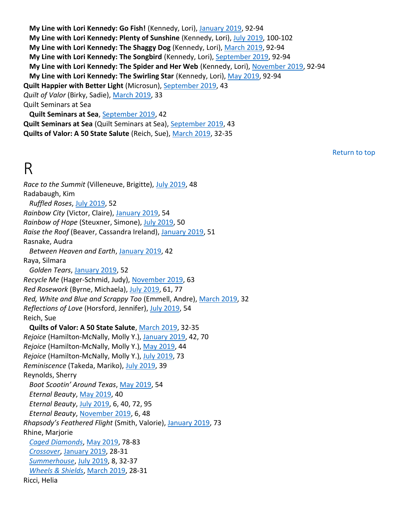**My Line with Lori Kennedy: Go Fish!** (Kennedy, Lori), January 2019, 92-94 **My Line with Lori Kennedy: Plenty of Sunshine** (Kennedy, Lori), July 2019, 100-102 **My Line with Lori Kennedy: The Shaggy Dog** (Kennedy, Lori), March 2019, 92-94 **My Line with Lori Kennedy: The Songbird** (Kennedy, Lori), September 2019, 92-94 **My Line with Lori Kennedy: The Spider and Her Web** (Kennedy, Lori), November 2019, 92-94 **My Line with Lori Kennedy: The Swirling Star** (Kennedy, Lori), May 2019, 92-94 **Quilt Happier with Better Light** (Microsun), September 2019, 43 *Quilt of Valor* (Birky, Sadie), March 2019, 33 Quilt Seminars at Sea **Quilt Seminars at Sea**, September 2019, 42 **Quilt Seminars at Sea** (Quilt Seminars at Sea), September 2019, 43 **Quilts of Valor: A 50 State Salute** (Reich, Sue), March 2019, 32-35

Return to top

## R

*Race to the Summit* (Villeneuve, Brigitte), July 2019, 48 Radabaugh, Kim *Ruffled Roses*, July 2019, 52 *Rainbow City* (Victor, Claire), January 2019, 54 *Rainbow of Hope* (Steuxner, Simone), July 2019, 50 *Raise the Roof* (Beaver, Cassandra Ireland), January 2019, 51 Rasnake, Audra *Between Heaven and Earth*, January 2019, 42 Raya, Silmara *Golden Tears*, January 2019, 52 *Recycle Me* (Hager-Schmid, Judy), November 2019, 63 *Red Rosework* (Byrne, Michaela), July 2019, 61, 77 *Red, White and Blue and Scrappy Too* (Emmell, Andre), March 2019, 32 *Reflections of Love* (Horsford, Jennifer), July 2019, 54 Reich, Sue **Quilts of Valor: A 50 State Salute**, March 2019, 32-35 *Rejoice* (Hamilton-McNally, Molly Y.), January 2019, 42, 70 *Rejoice* (Hamilton-McNally, Molly Y.), May 2019, 44 *Rejoice* (Hamilton-McNally, Molly Y.), July 2019, 73 *Reminiscence* (Takeda, Mariko), July 2019, 39 Reynolds, Sherry *Boot Scootin' Around Texas*, May 2019, 54 *Eternal Beauty*, May 2019, 40 *Eternal Beauty*, July 2019, 6, 40, 72, 95 *Eternal Beauty*, November 2019, 6, 48 *Rhapsody's Feathered Flight* (Smith, Valorie), January 2019, 73 Rhine, Marjorie *Caged Diamonds*, May 2019, 78-83 *Crossover*, January 2019, 28-31 *Summerhouse*, July 2019, 8, 32-37 *Wheels & Shields*, March 2019, 28-31 Ricci, Helia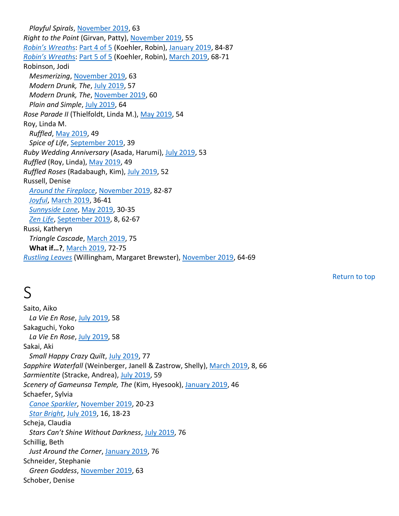*Playful Spirals*, November 2019, 63 *Right to the Point* (Girvan, Patty), November 2019, 55 *Robin's Wreath*s: Part 4 of 5 (Koehler, Robin), January 2019, 84-87 *Robin's Wreath*s: Part 5 of 5 (Koehler, Robin), March 2019, 68-71 Robinson, Jodi *Mesmerizing*, November 2019, 63 *Modern Drunk, The*, July 2019, 57 *Modern Drunk, The*, November 2019, 60 *Plain and Simple*, July 2019, 64 *Rose Parade II* (Thielfoldt, Linda M.), May 2019, 54 Roy, Linda M. *Ruffled*, May 2019, 49 *Spice of Life*, September 2019, 39 *Ruby Wedding Anniversary* (Asada, Harumi), July 2019, 53 *Ruffled* (Roy, Linda), May 2019, 49 *Ruffled Roses* (Radabaugh, Kim), July 2019, 52 Russell, Denise *Around the Fireplace*, November 2019, 82-87 *Joyful*, March 2019, 36-41 *Sunnyside Lane*, May 2019, 30-35 *Zen Life*, September 2019, 8, 62-67 Russi, Katheryn *Triangle Cascade*, March 2019, 75 **What if…?**, March 2019, 72-75 *Rustling Leaves* (Willingham, Margaret Brewster), November 2019, 64-69

## S

Saito, Aiko *La Vie En Rose*, July 2019, 58 Sakaguchi, Yoko *La Vie En Rose*, July 2019, 58 Sakai, Aki *Small Happy Crazy Quilt*, July 2019, 77 *Sapphire Waterfall* (Weinberger, Janell & Zastrow, Shelly), March 2019, 8, 66 *Sarmientite* (Stracke, Andrea), July 2019, 59 *Scenery of Gameunsa Temple, The* (Kim, Hyesook), January 2019, 46 Schaefer, Sylvia *Canoe Sparkler*, November 2019, 20-23 *Star Bright*, July 2019, 16, 18-23 Scheja, Claudia *Stars Can't Shine Without Darkness*, July 2019, 76 Schillig, Beth *Just Around the Corner*, January 2019, 76 Schneider, Stephanie *Green Goddess*, November 2019, 63 Schober, Denise

Return to top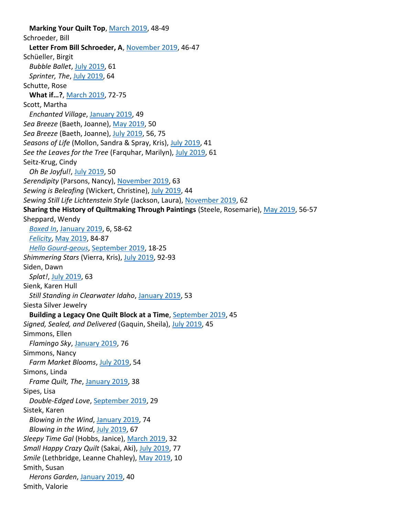**Marking Your Quilt Top**, March 2019, 48-49 Schroeder, Bill **Letter From Bill Schroeder, A**, November 2019, 46-47 Schüeller, Birgit *Bubble Ballet*, July 2019, 61 *Sprinter, The*, July 2019, 64 Schutte, Rose **What if…?**, March 2019, 72-75 Scott, Martha *Enchanted Village*, January 2019, 49 *Sea Breeze* (Baeth, Joanne), May 2019, 50 *Sea Breeze* (Baeth, Joanne), July 2019, 56, 75 *Seasons of Life* (Mollon, Sandra & Spray, Kris), July 2019, 41 *See the Leaves for the Tree* (Farquhar, Marilyn), July 2019, 61 Seitz-Krug, Cindy *Oh Be Joyful!*, July 2019, 50 *Serendipity* (Parsons, Nancy), November 2019, 63 *Sewing is Beleafing* (Wickert, Christine), July 2019, 44 *Sewing Still Life Lichtenstein Style* (Jackson, Laura), November 2019, 62 **Sharing the History of Quiltmaking Through Paintings** (Steele, Rosemarie), May 2019, 56-57 Sheppard, Wendy *Boxed In*, January 2019, 6, 58-62 *Felicity*, May 2019, 84-87 *Hello Gourd-geous*, September 2019, 18-25 *Shimmering Stars* (Vierra, Kris), July 2019, 92-93 Siden, Dawn *Splat!*, July 2019, 63 Sienk, Karen Hull *Still Standing in Clearwater Idaho*, January 2019, 53 Siesta Silver Jewelry **Building a Legacy One Quilt Block at a Time**, September 2019, 45 *Signed, Sealed, and Delivered* (Gaquin, Sheila), July 2019, 45 Simmons, Ellen *Flamingo Sky*, January 2019, 76 Simmons, Nancy *Farm Market Blooms*, July 2019, 54 Simons, Linda *Frame Quilt, The*, January 2019, 38 Sipes, Lisa *Double-Edged Love*, September 2019, 29 Sistek, Karen *Blowing in the Wind*, January 2019, 74 *Blowing in the Wind*, July 2019, 67 *Sleepy Time Gal* (Hobbs, Janice), March 2019, 32 *Small Happy Crazy Quilt* (Sakai, Aki), July 2019, 77 *Smile* (Lethbridge, Leanne Chahley), May 2019, 10 Smith, Susan *Herons Garden*, January 2019, 40 Smith, Valorie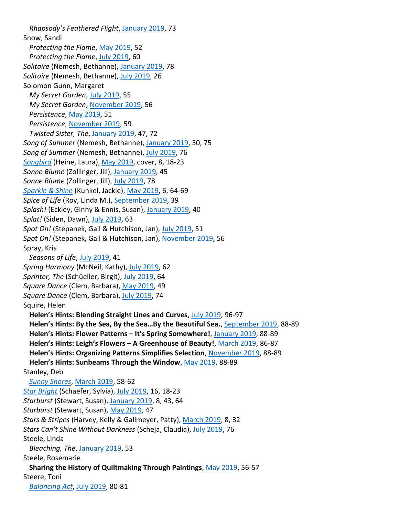*Rhapsody's Feathered Flight*, January 2019, 73 Snow, Sandi *Protecting the Flame*, May 2019, 52 *Protecting the Flame*, July 2019, 60 *Solitaire* (Nemesh, Bethanne), January 2019, 78 *Solitaire* (Nemesh, Bethanne), July 2019, 26 Solomon Gunn, Margaret *My Secret Garden*, July 2019, 55 *My Secret Garden*, November 2019, 56 *Persistence*, May 2019, 51 *Persistence*, November 2019, 59 *Twisted Sister, The*, January 2019, 47, 72 *Song of Summer* (Nemesh, Bethanne), January 2019, 50, 75 *Song of Summer* (Nemesh, Bethanne), July 2019, 76 *Songbird* (Heine, Laura), May 2019, cover, 8, 18-23 *Sonne Blume* (Zollinger, Jill), January 2019, 45 *Sonne Blume* (Zollinger, Jill), July 2019, 78 *Sparkle & Shine* (Kunkel, Jackie), May 2019, 6, 64-69 *Spice of Life* (Roy, Linda M.), September 2019, 39 *Splash!* (Eckley, Ginny & Ennis, Susan), January 2019, 40 *Splat!* (Siden, Dawn), July 2019, 63 *Spot On!* (Stepanek, Gail & Hutchison, Jan), July 2019, 51 *Spot On!* (Stepanek, Gail & Hutchison, Jan), November 2019, 56 Spray, Kris *Seasons of Life*, July 2019, 41 *Spring Harmony* (McNeil, Kathy), July 2019, 62 *Sprinter, The* (Schüeller, Birgit), July 2019, 64 *Square Dance* (Clem, Barbara), May 2019, 49 *Square Dance* (Clem, Barbara), July 2019, 74 Squire, Helen **Helen's Hints: Blending Straight Lines and Curves**, July 2019, 96-97 **Helen's Hints: By the Sea, By the Sea…By the Beautiful Sea.**, September 2019, 88-89 **Helen's Hints: Flower Patterns – It's Spring Somewhere!**, January 2019, 88-89 **Helen's Hints: Leigh's Flowers – A Greenhouse of Beauty!**, March 2019, 86-87 **Helen's Hints: Organizing Patterns Simplifies Selection**, November 2019, 88-89 **Helen's Hints: Sunbeams Through the Window**, May 2019, 88-89 Stanley, Deb *Sunny Shores*, March 2019, 58-62 *Star Bright* (Schaefer, Sylvia), July 2019, 16, 18-23 *Starburst* (Stewart, Susan), January 2019, 8, 43, 64 *Starburst* (Stewart, Susan), May 2019, 47 *Stars & Stripes* (Harvey, Kelly & Gallmeyer, Patty), March 2019, 8, 32 *Stars Can't Shine Without Darkness* (Scheja, Claudia), July 2019, 76 Steele, Linda *Bleaching, The*, January 2019, 53 Steele, Rosemarie **Sharing the History of Quiltmaking Through Paintings**, May 2019, 56-57 Steere, Toni *Balancing Act*, July 2019, 80-81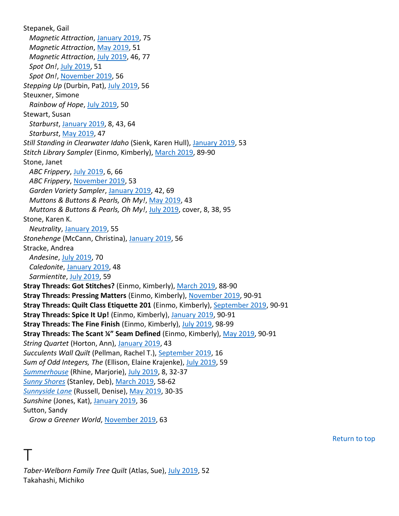Stepanek, Gail *Magnetic Attraction*, January 2019, 75 *Magnetic Attraction*, May 2019, 51 *Magnetic Attraction*, July 2019, 46, 77 *Spot On!*, July 2019, 51 *Spot On!*, November 2019, 56 *Stepping Up* (Durbin, Pat), July 2019, 56 Steuxner, Simone *Rainbow of Hope*, July 2019, 50 Stewart, Susan *Starburst*, January 2019, 8, 43, 64 *Starburst*, May 2019, 47 *Still Standing in Clearwater Idaho* (Sienk, Karen Hull), January 2019, 53 *Stitch Library Sampler* (Einmo, Kimberly), March 2019, 89-90 Stone, Janet *ABC Frippery*, July 2019, 6, 66 *ABC Frippery*, November 2019, 53 *Garden Variety Sampler*, January 2019, 42, 69 *Muttons & Buttons & Pearls, Oh My!*, May 2019, 43 *Muttons & Buttons & Pearls, Oh My!*, July 2019, cover, 8, 38, 95 Stone, Karen K. *Neutrality*, January 2019, 55 *Stonehenge* (McCann, Christina), January 2019, 56 Stracke, Andrea *Andesine*, July 2019, 70 *Caledonite*, January 2019, 48 *Sarmientite*, July 2019, 59 **Stray Threads: Got Stitches?** (Einmo, Kimberly), March 2019, 88-90 **Stray Threads: Pressing Matters** (Einmo, Kimberly), November 2019, 90-91 **Stray Threads: Quilt Class Etiquette 201** (Einmo, Kimberly), September 2019, 90-91 **Stray Threads: Spice It Up!** (Einmo, Kimberly), January 2019, 90-91 **Stray Threads: The Fine Finish** (Einmo, Kimberly), July 2019, 98-99 **Stray Threads: The Scant ¼" Seam Defined** (Einmo, Kimberly), May 2019, 90-91 *String Quartet* (Horton, Ann), January 2019, 43 *Succulents Wall Quilt* (Pellman, Rachel T.), September 2019, 16 *Sum of Odd Integers, The* (Ellison, Elaine Krajenke), July 2019, 59 *Summerhouse* (Rhine, Marjorie), July 2019, 8, 32-37 *Sunny Shores* (Stanley, Deb), March 2019, 58-62 *Sunnyside Lane* (Russell, Denise), May 2019, 30-35 *Sunshine* (Jones, Kat), January 2019, 36 Sutton, Sandy *Grow a Greener World*, November 2019, 63

Return to top

*Taber-Welborn Family Tree Quilt* (Atlas, Sue), July 2019, 52 Takahashi, Michiko

T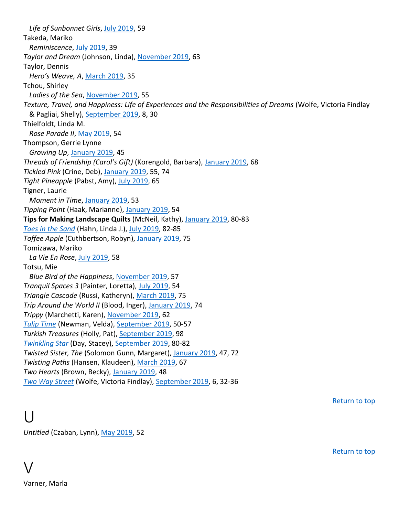*Life of Sunbonnet Girls*, July 2019, 59 Takeda, Mariko *Reminiscence*, July 2019, 39 *Taylor and Dream* (Johnson, Linda), November 2019, 63 Taylor, Dennis *Hero's Weave, A*, March 2019, 35 Tchou, Shirley *Ladies of the Sea*, November 2019, 55 *Texture, Travel, and Happiness: Life of Experiences and the Responsibilities of Dreams* (Wolfe, Victoria Findlay & Pagliai, Shelly), September 2019, 8, 30 Thielfoldt, Linda M. *Rose Parade II*, May 2019, 54 Thompson, Gerrie Lynne *Growing Up*, January 2019, 45 *Threads of Friendship (Carol's Gift)* (Korengold, Barbara), January 2019, 68 *Tickled Pink* (Crine, Deb), January 2019, 55, 74 *Tight Pineapple* (Pabst, Amy), July 2019, 65 Tigner, Laurie *Moment in Time*, January 2019, 53 *Tipping Point* (Haak, Marianne), January 2019, 54 **Tips for Making Landscape Quilts** (McNeil, Kathy), January 2019, 80-83 *Toes in the Sand* (Hahn, Linda J.), July 2019, 82-85 *Toffee Apple* (Cuthbertson, Robyn), January 2019, 75 Tomizawa, Mariko *La Vie En Rose*, July 2019, 58 Totsu, Mie *Blue Bird of the Happiness*, November 2019, 57 *Tranquil Spaces 3* (Painter, Loretta), July 2019, 54 *Triangle Cascade* (Russi, Katheryn), March 2019, 75 *Trip Around the World II* (Blood, Inger), January 2019, 74 *Trippy* (Marchetti, Karen), November 2019, 62 *Tulip Time* (Newman, Velda), September 2019, 50-57 *Turkish Treasures* (Holly, Pat), September 2019, 98 *Twinkling Star* (Day, Stacey), September 2019, 80-82 *Twisted Sister, The* (Solomon Gunn, Margaret), January 2019, 47, 72 *Twisting Paths* (Hansen, Klaudeen), March 2019, 67 *Two Hearts* (Brown, Becky), January 2019, 48 *Two Way Street* (Wolfe, Victoria Findlay), September 2019, 6, 32-36

Return to top

U

*Untitled* (Czaban, Lynn), May 2019, 52

Return to top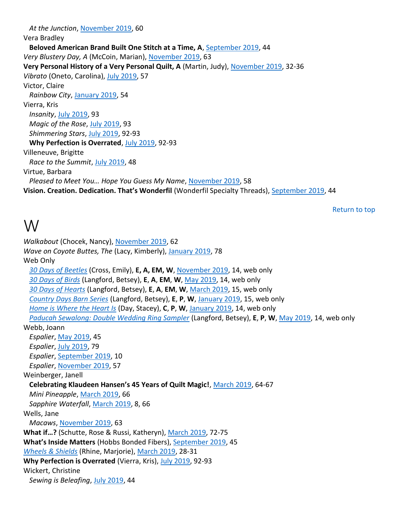*At the Junction*, November 2019, 60 Vera Bradley **Beloved American Brand Built One Stitch at a Time, A**, September 2019, 44 *Very Blustery Day, A* (McCoin, Marian), November 2019, 63 **Very Personal History of a Very Personal Quilt, A** (Martin, Judy), November 2019, 32-36 *Vibrato* (Oneto, Carolina), July 2019, 57 Victor, Claire *Rainbow City*, January 2019, 54 Vierra, Kris *Insanity*, July 2019, 93 *Magic of the Rose*, July 2019, 93 *Shimmering Stars*, July 2019, 92-93 **Why Perfection is Overrated**, July 2019, 92-93 Villeneuve, Brigitte *Race to the Summit*, July 2019, 48 Virtue, Barbara *Pleased to Meet You… Hope You Guess My Name*, November 2019, 58 **Vision. Creation. Dedication. That's Wonderfil** (Wonderfil Specialty Threads), September 2019, 44

Return to top

#### W

*Walkabout* (Chocek, Nancy), November 2019, 62 *Wave on Coyote Buttes, The* (Lacy, Kimberly), January 2019, 78 Web Only *30 Days of Beetles* (Cross, Emily), **E, A, EM, W**, November 2019, 14, web only *30 Days of Birds* (Langford, Betsey), **E**, **A**, **EM**, **W**, May 2019, 14, web only *30 Days of Hearts* (Langford, Betsey), **E**, **A**, **EM**, **W**, March 2019, 15, web only *Country Days Barn Series* (Langford, Betsey), **E**, **P**, **W**, January 2019, 15, web only *Home is Where the Heart Is* (Day, Stacey), **C**, **P**, **W**, January 2019, 14, web only *Paducah Sewalong: Double Wedding Ring Sampler* (Langford, Betsey), **E**, **P**, **W**, May 2019, 14, web only Webb, Joann *Espalier*, May 2019, 45 *Espalier*, July 2019, 79 *Espalier*, September 2019, 10 *Espalier*, November 2019, 57 Weinberger, Janell **Celebrating Klaudeen Hansen's 45 Years of Quilt Magic!**, March 2019, 64-67 *Mini Pineapple*, March 2019, 66 *Sapphire Waterfall*, March 2019, 8, 66 Wells, Jane *Macaws*, November 2019, 63 **What if…?** (Schutte, Rose & Russi, Katheryn), March 2019, 72-75 **What's Inside Matters** (Hobbs Bonded Fibers), September 2019, 45 *Wheels & Shields* (Rhine, Marjorie), March 2019, 28-31 **Why Perfection is Overrated** (Vierra, Kris), July 2019, 92-93 Wickert, Christine *Sewing is Beleafing*, July 2019, 44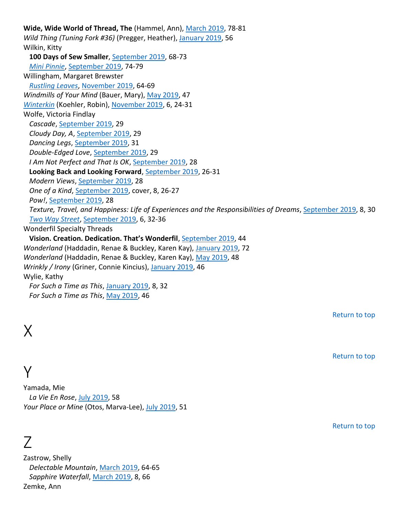**Wide, Wide World of Thread, The** (Hammel, Ann), March 2019, 78-81 *Wild Thing (Tuning Fork #36)* (Pregger, Heather), January 2019, 56 Wilkin, Kitty **100 Days of Sew Smaller**, September 2019, 68-73 *Mini Pinnie*, September 2019, 74-79 Willingham, Margaret Brewster *Rustling Leaves*, November 2019, 64-69 *Windmills of Your Mind* (Bauer, Mary), May 2019, 47 *Winterkin* (Koehler, Robin), November 2019, 6, 24-31 Wolfe, Victoria Findlay *Cascade*, September 2019, 29 *Cloudy Day, A*, September 2019, 29 *Dancing Legs*, September 2019, 31 *Double-Edged Love*, September 2019, 29 *I Am Not Perfect and That Is OK*, September 2019, 28 **Looking Back and Looking Forward**, September 2019, 26-31 *Modern Views*, September 2019, 28 *One of a Kind*, September 2019, cover, 8, 26-27 *Pow!*, September 2019, 28 *Texture, Travel, and Happiness: Life of Experiences and the Responsibilities of Dreams*, September 2019, 8, 30 *Two Way Street*, September 2019, 6, 32-36 Wonderfil Specialty Threads **Vision. Creation. Dedication. That's Wonderfil**, September 2019, 44 *Wonderland* (Haddadin, Renae & Buckley, Karen Kay), January 2019, 72 *Wonderland* (Haddadin, Renae & Buckley, Karen Kay), May 2019, 48 *Wrinkly / Irony* (Griner, Connie Kincius), January 2019, 46 Wylie, Kathy *For Such a Time as This*, January 2019, 8, 32 *For Such a Time as This*, May 2019, 46

X

Y

Yamada, Mie *La Vie En Rose*, July 2019, 58 *Your Place or Mine* (Otos, Marva-Lee), July 2019, 51

## Z

Zastrow, Shelly *Delectable Mountain*, March 2019, 64-65 *Sapphire Waterfall*, March 2019, 8, 66 Zemke, Ann

Return to top

Return to top

Return to top